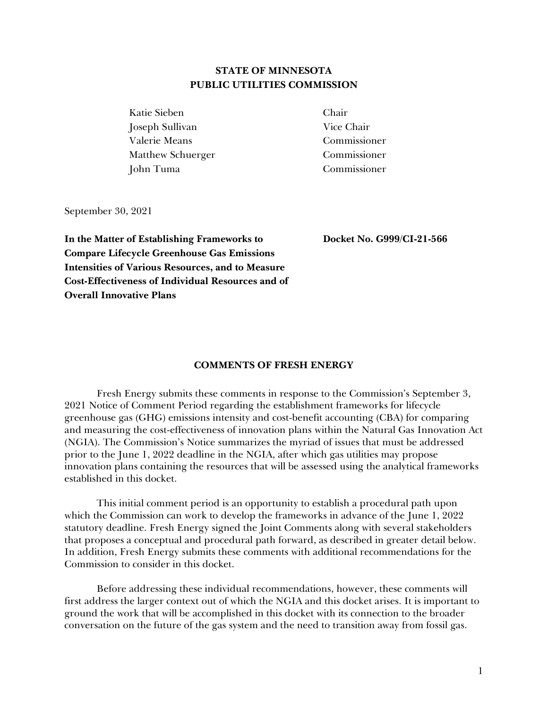# **STATE OF MINNESOTA PUBLIC UTILITIES COMMISSION**

Katie Sieben Chair Joseph Sullivan Vice Chair Valerie Means Commissioner Matthew Schuerger Commissioner John Tuma Commissioner

September 30, 2021

**In the Matter of Establishing Frameworks to Compare Lifecycle Greenhouse Gas Emissions Intensities of Various Resources, and to Measure Cost-Effectiveness of Individual Resources and of Overall Innovative Plans**

**Docket No. G999/CI-21-566**

## **COMMENTS OF FRESH ENERGY**

Fresh Energy submits these comments in response to the Commission's September 3, 2021 Notice of Comment Period regarding the establishment frameworks for lifecycle greenhouse gas (GHG) emissions intensity and cost-benefit accounting (CBA) for comparing and measuring the cost-effectiveness of innovation plans within the Natural Gas Innovation Act (NGIA). The Commission's Notice summarizes the myriad of issues that must be addressed prior to the June 1, 2022 deadline in the NGIA, after which gas utilities may propose innovation plans containing the resources that will be assessed using the analytical frameworks established in this docket.

This initial comment period is an opportunity to establish a procedural path upon which the Commission can work to develop the frameworks in advance of the June 1, 2022 statutory deadline. Fresh Energy signed the Joint Comments along with several stakeholders that proposes a conceptual and procedural path forward, as described in greater detail below. In addition, Fresh Energy submits these comments with additional recommendations for the Commission to consider in this docket.

Before addressing these individual recommendations, however, these comments will first address the larger context out of which the NGIA and this docket arises. It is important to ground the work that will be accomplished in this docket with its connection to the broader conversation on the future of the gas system and the need to transition away from fossil gas.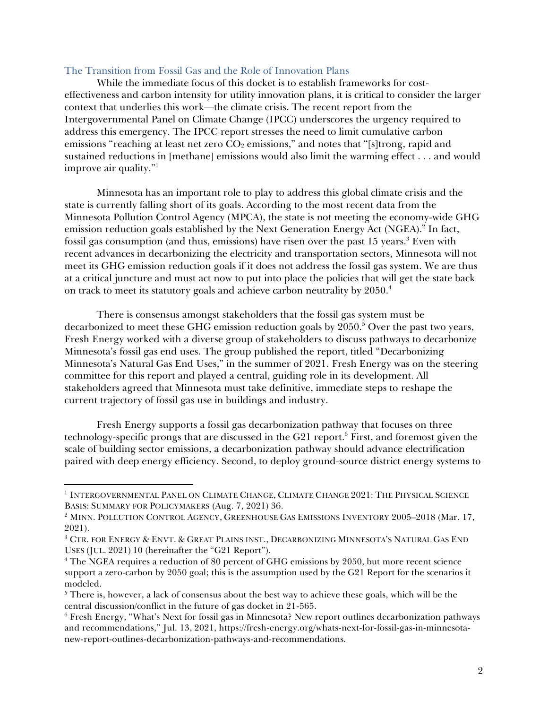## The Transition from Fossil Gas and the Role of Innovation Plans

While the immediate focus of this docket is to establish frameworks for costeffectiveness and carbon intensity for utility innovation plans, it is critical to consider the larger context that underlies this work—the climate crisis. The recent report from the Intergovernmental Panel on Climate Change (IPCC) underscores the urgency required to address this emergency. The IPCC report stresses the need to limit cumulative carbon emissions "reaching at least net zero  $CO<sub>2</sub>$  emissions," and notes that "[s]trong, rapid and sustained reductions in [methane] emissions would also limit the warming effect . . . and would improve air quality."<sup>1</sup>

Minnesota has an important role to play to address this global climate crisis and the state is currently falling short of its goals. According to the most recent data from the Minnesota Pollution Control Agency (MPCA), the state is not meeting the economy-wide GHG emission reduction goals established by the Next Generation Energy Act (NGEA). 2 In fact, fossil gas consumption (and thus, emissions) have risen over the past 15 years.<sup>3</sup> Even with recent advances in decarbonizing the electricity and transportation sectors, Minnesota will not meet its GHG emission reduction goals if it does not address the fossil gas system. We are thus at a critical juncture and must act now to put into place the policies that will get the state back on track to meet its statutory goals and achieve carbon neutrality by 2050.<sup>4</sup>

There is consensus amongst stakeholders that the fossil gas system must be decarbonized to meet these GHG emission reduction goals by 2050.<sup>5</sup> Over the past two years, Fresh Energy worked with a diverse group of stakeholders to discuss pathways to decarbonize Minnesota's fossil gas end uses. The group published the report, titled "Decarbonizing Minnesota's Natural Gas End Uses," in the summer of 2021. Fresh Energy was on the steering committee for this report and played a central, guiding role in its development. All stakeholders agreed that Minnesota must take definitive, immediate steps to reshape the current trajectory of fossil gas use in buildings and industry.

Fresh Energy supports a fossil gas decarbonization pathway that focuses on three technology-specific prongs that are discussed in the G21 report. <sup>6</sup> First, and foremost given the scale of building sector emissions, a decarbonization pathway should advance electrification paired with deep energy efficiency. Second, to deploy ground-source district energy systems to

<sup>&</sup>lt;sup>1</sup> INTERGOVERNMENTAL PANEL ON CLIMATE CHANGE, CLIMATE CHANGE 2021: THE PHYSICAL SCIENCE BASIS: SUMMARY FOR POLICYMAKERS (Aug. 7, 2021) 36.

<sup>&</sup>lt;sup>2</sup> MINN. POLLUTION CONTROL AGENCY, GREENHOUSE GAS EMISSIONS INVENTORY 2005-2018 (Mar. 17, 2021).

<sup>3</sup> CTR. FOR ENERGY & ENVT. & GREAT PLAINS INST., DECARBONIZING MINNESOTA'S NATURAL GAS END USES (JUL. 2021) 10 (hereinafter the "G21 Report").

<sup>&</sup>lt;sup>4</sup> The NGEA requires a reduction of 80 percent of GHG emissions by 2050, but more recent science support a zero-carbon by 2050 goal; this is the assumption used by the G21 Report for the scenarios it modeled.

 $<sup>5</sup>$  There is, however, a lack of consensus about the best way to achieve these goals, which will be the</sup> central discussion/conflict in the future of gas docket in 21-565.

<sup>6</sup> Fresh Energy, "What's Next for fossil gas in Minnesota? New report outlines decarbonization pathways and recommendations," Jul. 13, 2021, https://fresh-energy.org/whats-next-for-fossil-gas-in-minnesotanew-report-outlines-decarbonization-pathways-and-recommendations.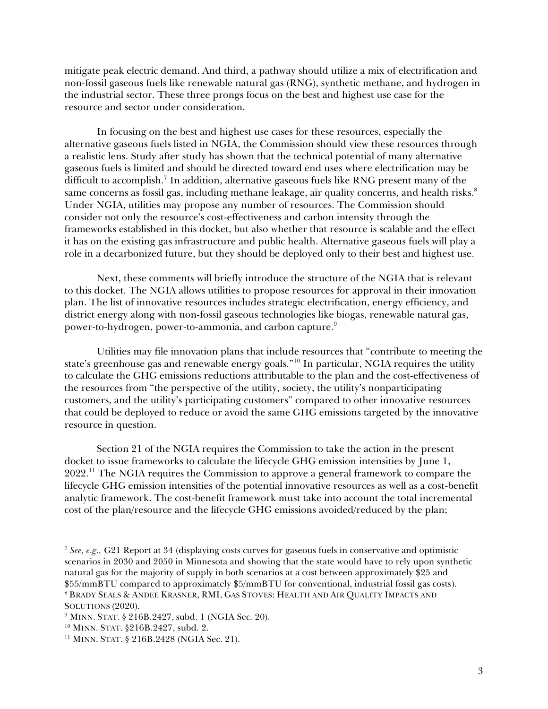mitigate peak electric demand. And third, a pathway should utilize a mix of electrification and non-fossil gaseous fuels like renewable natural gas (RNG), synthetic methane, and hydrogen in the industrial sector. These three prongs focus on the best and highest use case for the resource and sector under consideration.

In focusing on the best and highest use cases for these resources, especially the alternative gaseous fuels listed in NGIA, the Commission should view these resources through a realistic lens. Study after study has shown that the technical potential of many alternative gaseous fuels is limited and should be directed toward end uses where electrification may be difficult to accomplish. 7 In addition, alternative gaseous fuels like RNG present many of the same concerns as fossil gas, including methane leakage, air quality concerns, and health risks.<sup>8</sup> Under NGIA, utilities may propose any number of resources. The Commission should consider not only the resource's cost-effectiveness and carbon intensity through the frameworks established in this docket, but also whether that resource is scalable and the effect it has on the existing gas infrastructure and public health. Alternative gaseous fuels will play a role in a decarbonized future, but they should be deployed only to their best and highest use.

Next, these comments will briefly introduce the structure of the NGIA that is relevant to this docket. The NGIA allows utilities to propose resources for approval in their innovation plan. The list of innovative resources includes strategic electrification, energy efficiency, and district energy along with non-fossil gaseous technologies like biogas, renewable natural gas, power-to-hydrogen, power-to-ammonia, and carbon capture.<sup>9</sup>

Utilities may file innovation plans that include resources that "contribute to meeting the state's greenhouse gas and renewable energy goals."<sup>10</sup> In particular, NGIA requires the utility to calculate the GHG emissions reductions attributable to the plan and the cost-effectiveness of the resources from "the perspective of the utility, society, the utility's nonparticipating customers, and the utility's participating customers" compared to other innovative resources that could be deployed to reduce or avoid the same GHG emissions targeted by the innovative resource in question.

Section 21 of the NGIA requires the Commission to take the action in the present docket to issue frameworks to calculate the lifecycle GHG emission intensities by June 1, 2022.<sup>11</sup> The NGIA requires the Commission to approve a general framework to compare the lifecycle GHG emission intensities of the potential innovative resources as well as a cost-benefit analytic framework. The cost-benefit framework must take into account the total incremental cost of the plan/resource and the lifecycle GHG emissions avoided/reduced by the plan;

<sup>7</sup> *See, e.g.,* G21 Report at 34 (displaying costs curves for gaseous fuels in conservative and optimistic scenarios in 2030 and 2050 in Minnesota and showing that the state would have to rely upon synthetic natural gas for the majority of supply in both scenarios at a cost between approximately \$25 and \$55/mmBTU compared to approximately \$5/mmBTU for conventional, industrial fossil gas costs). <sup>8</sup> BRADY SEALS & ANDEE KRASNER, RMI, GAS STOVES: HEALTH AND AIR QUALITY IMPACTS AND SOLUTIONS (2020).

 $9$  MINN. STAT. § 216B.2427, subd. 1 (NGIA Sec. 20).

<sup>&</sup>lt;sup>10</sup> MINN. STAT. §216B.2427, subd. 2.

<sup>11</sup> MINN. STAT. § 216B.2428 (NGIA Sec. 21).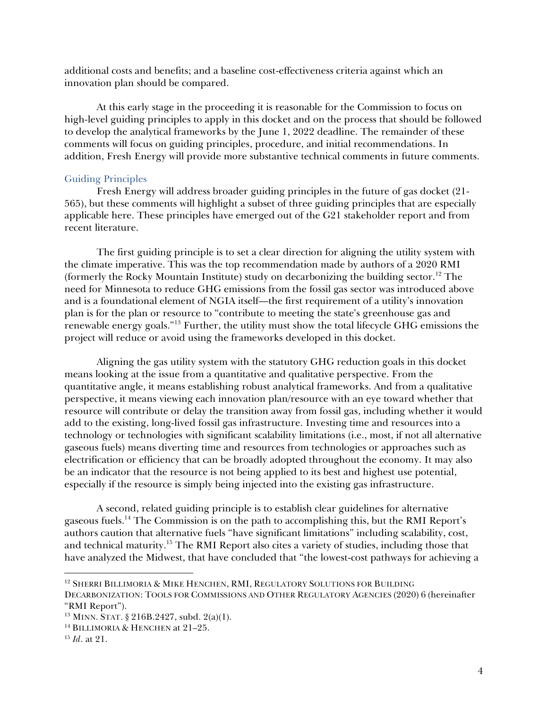additional costs and benefits; and a baseline cost-effectiveness criteria against which an innovation plan should be compared.

At this early stage in the proceeding it is reasonable for the Commission to focus on high-level guiding principles to apply in this docket and on the process that should be followed to develop the analytical frameworks by the June 1, 2022 deadline. The remainder of these comments will focus on guiding principles, procedure, and initial recommendations. In addition, Fresh Energy will provide more substantive technical comments in future comments.

# Guiding Principles

Fresh Energy will address broader guiding principles in the future of gas docket (21- 565), but these comments will highlight a subset of three guiding principles that are especially applicable here. These principles have emerged out of the G21 stakeholder report and from recent literature.

The first guiding principle is to set a clear direction for aligning the utility system with the climate imperative. This was the top recommendation made by authors of a 2020 RMI (formerly the Rocky Mountain Institute) study on decarbonizing the building sector.<sup>12</sup> The need for Minnesota to reduce GHG emissions from the fossil gas sector was introduced above and is a foundational element of NGIA itself—the first requirement of a utility's innovation plan is for the plan or resource to "contribute to meeting the state's greenhouse gas and renewable energy goals."<sup>13</sup> Further, the utility must show the total lifecycle GHG emissions the project will reduce or avoid using the frameworks developed in this docket.

Aligning the gas utility system with the statutory GHG reduction goals in this docket means looking at the issue from a quantitative and qualitative perspective. From the quantitative angle, it means establishing robust analytical frameworks. And from a qualitative perspective, it means viewing each innovation plan/resource with an eye toward whether that resource will contribute or delay the transition away from fossil gas, including whether it would add to the existing, long-lived fossil gas infrastructure. Investing time and resources into a technology or technologies with significant scalability limitations (i.e., most, if not all alternative gaseous fuels) means diverting time and resources from technologies or approaches such as electrification or efficiency that can be broadly adopted throughout the economy. It may also be an indicator that the resource is not being applied to its best and highest use potential, especially if the resource is simply being injected into the existing gas infrastructure.

A second, related guiding principle is to establish clear guidelines for alternative gaseous fuels. <sup>14</sup> The Commission is on the path to accomplishing this, but the RMI Report's authors caution that alternative fuels "have significant limitations" including scalability, cost, and technical maturity.<sup>15</sup> The RMI Report also cites a variety of studies, including those that have analyzed the Midwest, that have concluded that "the lowest-cost pathways for achieving a

<sup>&</sup>lt;sup>12</sup> SHERRI BILLIMORIA & MIKE HENCHEN, RMI, REGULATORY SOLUTIONS FOR BUILDING

DECARBONIZATION: TOOLS FOR COMMISSIONS AND OTHER REGULATORY AGENCIES (2020) 6 (hereinafter "RMI Report").

<sup>13</sup> MINN. STAT. § 216B.2427, subd. 2(a)(1).

<sup>&</sup>lt;sup>14</sup> BILLIMORIA & HENCHEN at 21-25.

<sup>15</sup> *Id*. at 21.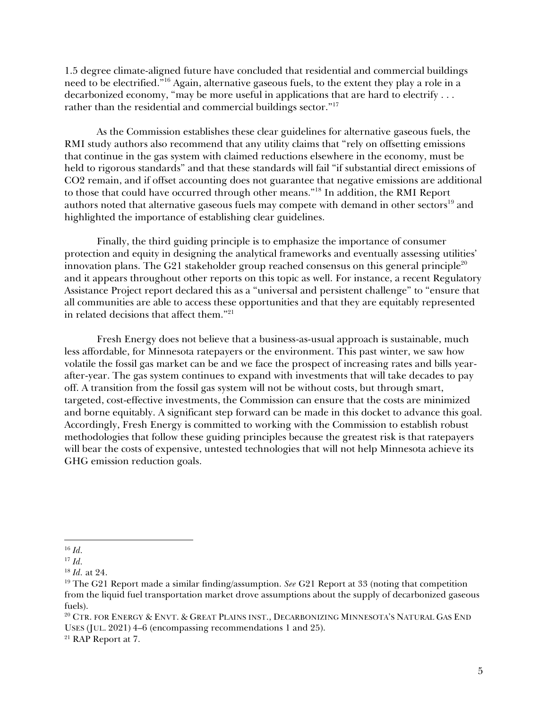1.5 degree climate-aligned future have concluded that residential and commercial buildings need to be electrified."<sup>16</sup> Again, alternative gaseous fuels, to the extent they play a role in a decarbonized economy, "may be more useful in applications that are hard to electrify . . . rather than the residential and commercial buildings sector."<sup>17</sup>

As the Commission establishes these clear guidelines for alternative gaseous fuels, the RMI study authors also recommend that any utility claims that "rely on offsetting emissions that continue in the gas system with claimed reductions elsewhere in the economy, must be held to rigorous standards" and that these standards will fail "if substantial direct emissions of CO2 remain, and if offset accounting does not guarantee that negative emissions are additional to those that could have occurred through other means."<sup>18</sup> In addition, the RMI Report authors noted that alternative gaseous fuels may compete with demand in other sectors<sup>19</sup> and highlighted the importance of establishing clear guidelines.

Finally, the third guiding principle is to emphasize the importance of consumer protection and equity in designing the analytical frameworks and eventually assessing utilities' innovation plans. The G21 stakeholder group reached consensus on this general principle<sup>20</sup> and it appears throughout other reports on this topic as well. For instance, a recent Regulatory Assistance Project report declared this as a "universal and persistent challenge" to "ensure that all communities are able to access these opportunities and that they are equitably represented in related decisions that affect them."<sup>21</sup>

Fresh Energy does not believe that a business-as-usual approach is sustainable, much less affordable, for Minnesota ratepayers or the environment. This past winter, we saw how volatile the fossil gas market can be and we face the prospect of increasing rates and bills yearafter-year. The gas system continues to expand with investments that will take decades to pay off. A transition from the fossil gas system will not be without costs, but through smart, targeted, cost-effective investments, the Commission can ensure that the costs are minimized and borne equitably. A significant step forward can be made in this docket to advance this goal. Accordingly, Fresh Energy is committed to working with the Commission to establish robust methodologies that follow these guiding principles because the greatest risk is that ratepayers will bear the costs of expensive, untested technologies that will not help Minnesota achieve its GHG emission reduction goals.

<sup>20</sup> CTR. FOR ENERGY & ENVT. & GREAT PLAINS INST., DECARBONIZING MINNESOTA'S NATURAL GAS END USES (JUL. 2021) 4–6 (encompassing recommendations 1 and 25).

<sup>16</sup> *Id.*

<sup>17</sup> *Id.*

<sup>18</sup> *Id.* at 24.

<sup>19</sup> The G21 Report made a similar finding/assumption. *See* G21 Report at 33 (noting that competition from the liquid fuel transportation market drove assumptions about the supply of decarbonized gaseous fuels).

<sup>21</sup> RAP Report at 7.